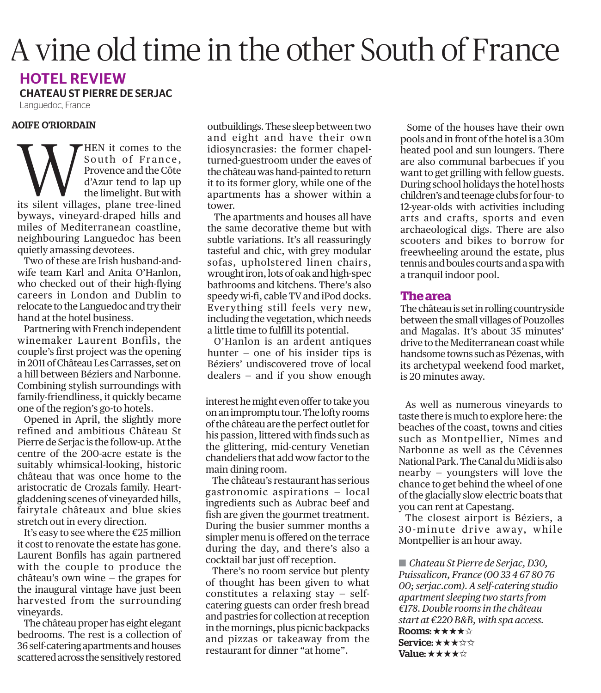## A vine old time in the other South of France

## HOTEL REVIEW

CHATEAU ST PIERRE DE SERJAC

Languedoc, France

## AOIFE O'RIORDAIN

OFFE OKOKDAIN<br>South of France,<br>Provence and the Côte<br>d'Azur tend to lap up<br>the limelight. But with South of France. Provence and the Côte d'Azur tend to lap up the limelight. But with its silent villages, plane tree-lined byways, vineyard-draped hills and miles of Mediterranean coastline, neighbouring Languedoc has been quietly amassing devotees.

Two of these are Irish husband-andwife team Karl and Anita O'Hanlon, who checked out of their high-flying careers in London and Dublin to relocate to the Languedoc and try their hand at the hotel business.

Partnering with French independent winemaker Laurent Bonfils, the couple's first project was the opening in 2011 of Château Les Carrasses, set on a hill between Béziers and Narbonne. Combining stylish surroundings with family-friendliness, it quickly became one of the region's go-to hotels.

Opened in April, the slightly more refined and ambitious Château St Pierre de Serjac is the follow-up. At the centre of the 200-acre estate is the suitably whimsical-looking, historic château that was once home to the aristocratic de Crozals family. Heartgladdening scenes of vineyarded hills, fairytale châteaux and blue skies stretch out in every direction.

It's easy to see where the €25 million it cost to renovate the estate has gone. Laurent Bonfils has again partnered with the couple to produce the château's own wine — the grapes for the inaugural vintage have just been harvested from the surrounding vineyards.

The château proper has eight elegant bedrooms. The rest is a collection of 36 self-catering apartments and houses scattered across the sensitively restored

outbuildings. These sleep between two and eight and have their own idiosyncrasies: the former chapelturned-guestroom under the eaves of the château was hand-painted to return it to its former glory, while one of the apartments has a shower within a tower.

The apartments and houses all have the same decorative theme but with subtle variations. It's all reassuringly tasteful and chic, with grey modular sofas, upholstered linen chairs, wrought iron, lots of oak and high-spec bathrooms and kitchens. There's also speedy wi-fi, cable TV and iPod docks. Everything still feels very new, including the vegetation, which needs a little time to fulfill its potential.

O'Hanlon is an ardent antiques hunter — one of his insider tips is Béziers' undiscovered trove of local dealers — and if you show enough

interest he might even offer to take you on an impromptu tour. The lofty rooms of the château are the perfect outlet for his passion, littered with finds such as the glittering, mid-century Venetian chandeliers that add wow factor to the main dining room.

The château's restaurant has serious gastronomic aspirations — local ingredients such as Aubrac beef and fish are given the gourmet treatment. During the busier summer months a simpler menu is offered on the terrace during the day, and there's also a cocktail bar just off reception.

There's no room service but plenty of thought has been given to what constitutes a relaxing stay — selfcatering guests can order fresh bread and pastries for collection at reception in the mornings, plus picnic backpacks and pizzas or takeaway from the restaurant for dinner "at home".

Some of the houses have their own pools and in front of the hotel is a 30m heated pool and sun loungers. There are also communal barbecues if you want to get grilling with fellow guests. During school holidays the hotel hosts children's and teenage clubs for four- to 12-year-olds with activities including arts and crafts, sports and even archaeological digs. There are also scooters and bikes to borrow for freewheeling around the estate, plus tennis and boules courts and a spa with a tranquil indoor pool.

## **The area**

The château is set in rolling countryside between the small villages of Pouzolles and Magalas. It's about 35 minutes' drive to the Mediterranean coast while handsome towns such as Pézenas, with its archetypal weekend food market, is 20 minutes away.

As well as numerous vineyards to taste there is much to explore here: the beaches of the coast, towns and cities such as Montpellier, Nîmes and Narbonne as well as the Cévennes National Park. The Canal du Midi is also nearby — youngsters will love the chance to get behind the wheel of one of the glacially slow electric boats that you can rent at Capestang.

The closest airport is Béziers, a 30-minute drive away, while Montpellier is an hour away.

*Chateau St Pierre de Serjac, D30,*  O*Puissalicon, France (00 33 4 67 80 76 00; serjac.com). A self-catering studio apartment sleeping two starts from €178. Double rooms in the château start at €220 B&B, with spa access.*  Rooms: ★★★★☆ Service: ★★★☆☆ Value:  $\star \star \star \star \circ$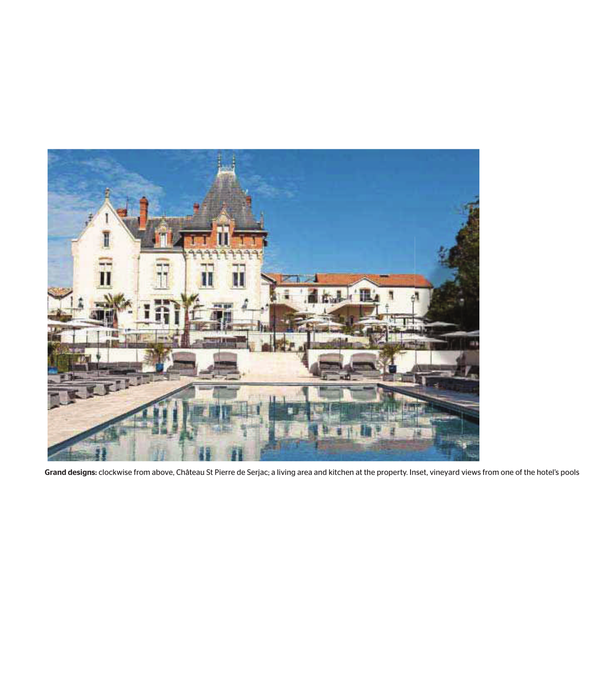

Grand designs: clockwise from above, Château St Pierre de Serjac; a living area and kitchen at the property. Inset, vineyard views from one of the hotel's pools